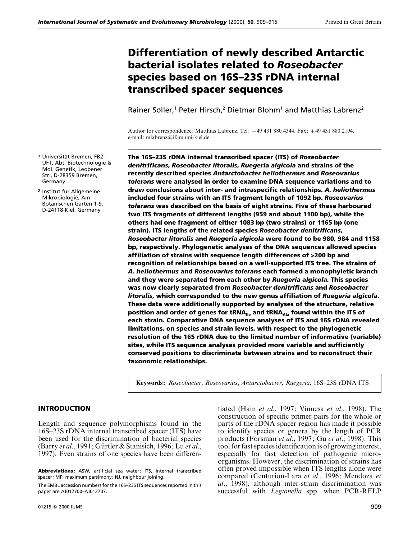# **Differentiation of newly described Antarctic bacterial isolates related to** *Roseobacter* **species based on 16S–23S rDNA internal transcribed spacer sequences**

Rainer Söller,<sup>1</sup> Peter Hirsch,<sup>2</sup> Dietmar Blohm<sup>1</sup> and Matthias Labrenz<sup>2</sup>

Author for correspondence: Matthias Labrenz. Tel: 49 431 880 4344. Fax: 49 431 880 2194. e-mail: mlabrenz@ifam.uni-kiel.de

**The 16S–23S rDNA internal transcribed spacer (ITS) of** *Roseobacter denitrificans***,** *Roseobacter litoralis***,** *Ruegeria algicola* **and strains of the recently described species** *Antarctobacter heliothermus* **and** *Roseovarius tolerans* **were analysed in order to examine DNA sequence variations and to draw conclusions about inter- and intraspecific relationships.** *A. heliothermus* **included four strains with an ITS fragment length of 1092 bp.** *Roseovarius tolerans* **was described on the basis of eight strains. Five of these harboured two ITS fragments of different lengths (959 and about 1100 bp), while the others had one fragment of either 1083 bp (two strains) or 1165 bp (one strain). ITS lengths of the related species** *Roseobacter denitrificans***,** *Roseobacter litoralis* **and** *Ruegeria algicola* **were found to be 980, 984 and 1158 bp, respectively. Phylogenetic analyses of the DNA sequences allowed species affiliation of strains with sequence length differences of** S**200 bp and recognition of relationships based on a well-supported ITS tree. The strains of** *A. heliothermus* **and** *Roseovarius tolerans* **each formed a monophyletic branch and they were separated from each other by** *Ruegeria algicola.* **This species was now clearly separated from** *Roseobacter denitrificans* **and** *Roseobacter litoralis***, which corresponded to the new genus affiliation of** *Ruegeria algicola***. These data were additionally supported by analyses of the structure, relative position and order of genes for tRNAIle and tRNAAla found within the ITS of each strain. Comparative DNA sequence analyses of ITS and 16S rDNA revealed limitations, on species and strain levels, with respect to the phylogenetic resolution of the 16S rDNA due to the limited number of informative (variable) sites, while ITS sequence analyses provided more variable and sufficiently conserved positions to discriminate between strains and to reconstruct their taxonomic relationships.**

**Keywords:** *Roseobacter*, *Roseovarius*, *Antarctobacter*, *Ruegeria*, 16S–23S rDNA ITS

## **INTRODUCTION**

Length and sequence polymorphisms found in the 16S–23S rDNA internal transcribed spacer (ITS) have been used for the discrimination of bacterial species (Barry *et al.*, 1991; Gürtler & Stanisich, 1996; Lu *et al.*, 1997). Even strains of one species have been differen-

tiated (Hain *et al*., 1997; Vinuesa *et al*., 1998). The construction of specific primer pairs for the whole or parts of the rDNA spacer region has made it possible to identify species or genera by the length of PCR

<sup>1</sup> Universität Bremen, FB2-UFT, Abt. Biotechnologie & Mol. Genetik, Leobener Str., D-28359 Bremen, Germany

<sup>2</sup> Institut für Allgemeine Mikrobiologie, Am Botanischen Garten 1-9, D-24118 Kiel, Germany

**Abbreviations:** ASW, artificial sea water; ITS, internal transcribed spacer; MP, maximum parsimony; NJ, neighbour joining.

The EMBL accession numbers for the 16S–23S ITS sequences reported in this paper are AJ012700–AJ012707.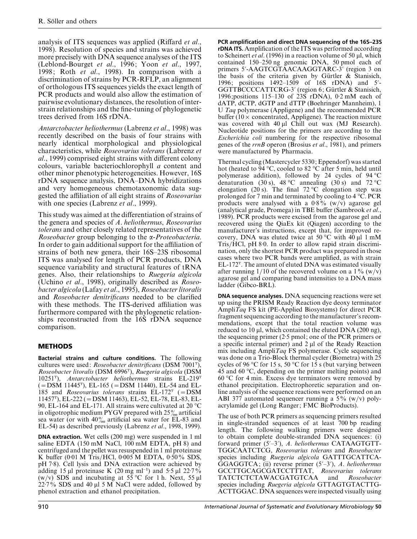analysis of ITS sequences was applied (Riffard *et al*., 1998). Resolution of species and strains was achieved more precisely with DNA sequence analyses of the ITS (Leblond-Bourget *et al*., 1996; Yoon *et al*., 1997, 1998; Roth *et al*., 1998). In comparison with a discrimination of strains by PCR-RFLP, an alignment of orthologous ITS sequences yields the exact length of PCR products and would also allow the estimation of pairwise evolutionary distances, the resolution of interstrain relationships and the fine-tuning of phylogenetic trees derived from 16S rDNA.

*Antarctobacter heliothermus* (Labrenz *et al*., 1998) was recently described on the basis of four strains with nearly identical morphological and physiological characteristics, while *Roseovarius tolerans* (Labrenz *et al*., 1999) comprised eight strains with different colony colours, variable bacteriochlorophyll *a* content and other minor phenotypic heterogeneities. However, 16S rDNA sequence analysis, DNA–DNA hybridizations and very homogeneous chemotaxonomic data suggested the affiliation of all eight strains of *Roseovarius* with one species (Labrenz *et al*., 1999).

This study was aimed at the differentiation of strains of the genera and species of *A*. *heliothermus*, *Roseovarius tolerans* and other closely related representatives of the *Roseobacter* group belonging to the α-*Proteobacteria*. In order to gain additional support for the affiliation of strains of both new genera, their 16S–23S ribosomal ITS was analysed for length of PCR products, DNA sequence variability and structural features of tRNA genes. Also, their relationships to *Ruegeria algicola* (Uchino *et al*., 1998), originally described as *Roseobacter algicola* (Lafay *et al*., 1995), *Roseobacter litoralis* and *Roseobacter denitrificans* needed to be clarified with these methods. The ITS-derived affiliation was furthermore compared with the phylogenetic relationships reconstructed from the 16S rDNA sequence comparison.

# **METHODS**

**Bacterial strains and culture conditions.** The following cultures were used: *Roseobacter denitrificans* (DSM 7001T), *Roseobacter litoralis* (DSM 6996T), *Ruegeria algicola* (DSM 10251T), *Antarctobacter heliothermus* strains EL-219T  $(=DSM 11445^{\mathrm{T}})$ , EL-165 ( $=DSM 11440$ ), EL-54 and EL-185 and *Roseovarius tolerans* strains  $EL-172<sup>T</sup>$  (=DSM 11457T), EL-222 (¯DSM 11463), EL-52, EL-78, EL-83, EL-90, EL-164 and EL-171. All strains were cultivated at 20 °C in oligotrophic medium PYGV prepared with  $25\%$  artificial sea water (or with  $40\%$  artificial sea water for EL-83 and EL-54) as described previously (Labrenz *et al*., 1998, 1999).

**DNA extraction.** Wet cells (200 mg) were suspended in 1 ml saline EDTA (150 mM NaCl, 100 mM EDTA, pH 8) and centrifuged and the pellet was resuspended in 1 ml proteinase K buffer (0 $0.01$  M Tris/HCl, 0 $0.005$  M EDTA, 0 $50\%$  SDS, pH 7<sup>-8</sup>). Cell lysis and DNA extraction were achieved by adding 15 µl proteinase K (20 mg ml<sup>-1</sup>) and 5.5 µl 22.7% (w/v) SDS and incubating at 55 °C for 1 h. Next, 55  $\mu$ l  $22.7\%$  SDS and 40 µl 5 M NaCl were added, followed by phenol extraction and ethanol precipitation.

**PCR amplification and direct DNA sequencing of the 16S–23S rDNA ITS.**Amplification of the ITS was performed according to Scheinert *et al*. (1996) in a reaction volume of 50 µl, which contained 150–250 ng genomic DNA, 50 pmol each of primers 5'-AAGTCGTAACAAGGTARC-3' (region 3 on the basis of the criteria given by Gürtler  $\&$  Stanisich, 1996; positions 1492-1509 of 16S rDNA) and 5'-GGTTBCCCCATTCRG-3' (region 6; Gürtler & Stanisich, 1996; positions 115–130 of 23S rDNA), 0.2 mM each of dATP, dCTP, dGTP and dTTP (Boehringer Mannheim), 1 U *Taq* polymerase (Appligene) and the recommended PCR buffer ( $10 \times$  concentrated, Appligene). The reaction mixture was covered with 40 µl Chill out wax (MJ Research). Nucleotide positions for the primers are according to the *Escherichia coli* numbering for the respective ribosomal genes of the *rrnB* operon (Brosius *et al*., 1981), and primers were manufactured by Pharmacia.

Thermal cycling (Mastercycler 5330; Eppendorf) was started hot (heated to 94 °C, cooled to 82 °C after 5 min, held until polymerase addition), followed by 24 cycles of 94 °C denaturation (30 s), 48 °C annealing (30 s) and 72 °C elongation (20 s). The final 72 °C elongation step was prolonged for 7 min and terminated by cooling to 4 °C. PCR products were analysed with a  $0.8\%$  (w/v) agarose gel (analytical grade, Promega) in TBE buffer (Sambrook *et al*., 1989). PCR products were excised from the agarose gel and recovered using the QiaEx kit (Qiagen) according to the manufacturer's instructions, except that, for improved recovery, DNA was eluted twice at 50 °C with 40  $\mu$ l 1 mM Tris/HCl, pH 8.0. In order to allow rapid strain discrimination, only the shortest PCR product was prepared in those cases where two PCR bands were amplified, as with strain  $EL-172<sup>T</sup>$ . The amount of eluted DNA was estimated visually after running 1/10 of the recovered volume on a  $1\%$  (w/v) agarose gel and comparing band intensities to a DNA mass ladder (Gibco-BRL).

**DNA sequence analyses.** DNA sequencing reactions were set up using the PRISM Ready Reaction dye deoxy terminator Ampli*Taq* FS kit (PE-Applied Biosystems) for direct PCR fragment sequencing according to the manufacturer's recommendations, except that the total reaction volume was reduced to 10 µl, which contained the eluted DNA (200 ng), the sequencing primer  $(2.5 \text{ pmol})$ ; one of the PCR primers or a specific internal primer) and 2 µl of the Ready Reaction mix including Ampli*Taq* FS polymerase. Cycle sequencing was done on a Trio-Block thermal cycler (Biometra) with 25 cycles of 96 °C for 15 s, 50 °C for 15 s (but varying between 45 and 60 °C, depending on the primer melting points) and 60 °C for 4 min. Excess dye terminators were removed by ethanol precipitation. Electrophoretic separation and online analysis of the sequence reactions were performed on an ABI 377 automated sequencer running a  $5\%$  (w/v) polyacrylamide gel (Long Ranger; FMC BioProducts).

The use of both PCR primers as sequencing primers resulted in single-stranded sequences of at least 700 bp reading length. The following walking primers were designed to obtain complete double-stranded DNA sequences: (i) forward primer (5'-3'), A. heliothermus CATAAGTGTT-TGGCAATCTCG, *Roseovarius tolerans* and *Roseobacter* species including *Ruegeria algicola* GATTTGCATTCA-GGAGGTCA; (ii) reverse primer (5'-3'), A. heliothermus GCCTTGCAGCGATCCTTTAT, *Roseovarius tolerans* TATCTCTCTAWACGATGTCAA species including *Ruegeria algicola* GTTAGTGTACTTG-ACTTGGAC. DNA sequences were inspected visually using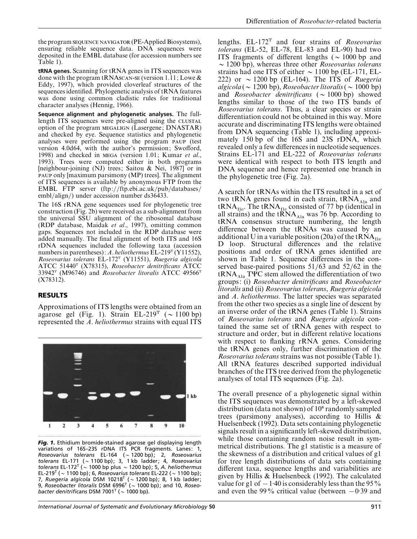the program SEQUENCE NAVIGATOR (PE-Applied Biosystems), ensuring reliable sequence data. DNA sequences were deposited in the EMBL database (for accession numbers see Table 1).

**tRNA genes.** Scanning for tRNA genes in ITS sequences was done with the program tRNAsCAN-SE (version 1.11; Lowe  $\&$ Eddy, 1997), which provided cloverleaf structures of the sequences identified. Phylogenetic analysis of tRNA features was done using common cladistic rules for traditional character analyses (Hennig, 1966).

**Sequence alignment and phylogenetic analyses.** The fulllength ITS sequences were pre-aligned using the option of the program MEGALIGN (Lasergene; DNASTAR) and checked by eye. Sequence statistics and phylogenetic analyses were performed using the program PAUP (test version 4.0d64, with the author's permission; Swofford, 1998) and checked in MEGA (version 1.01; Kumar *et al.*, 1993). Trees were computed either in both programs [neighbour-joining (NJ) trees; Saitou & Nei, 1987] or in PAUP only [maximum parsimony (MP) trees]. The alignment of ITS sequences is available by anonymous FTP from the EMBL FTP server (ftp://ftp.ebi.ac.uk/pub/databases/ embl/align/) under accession number ds36433.

The 16S rRNA gene sequences used for phylogenetic tree construction (Fig. 2b) were received as a sub-alignment from the universal SSU alignment of the ribosomal database (RDP database, Maidak *et al*., 1997), omitting common gaps. Sequences not included in the RDP database were added manually. The final alignment of both ITS and 16S rDNA sequences included the following taxa (accession numbers in parentheses): *A. heliothermus* EL-219<sup>T</sup> (Y11552), *Roseovarius tolerans* EL-172T (Y11551), *Ruegeria algicola* ATCC 51440T (X78315), *Roseobacter denitrificans* ATCC 33942T (M96746) and *Roseobacter litoralis* ATCC 49566T (X78312).

## **RESULTS**

Approximations of ITS lengths were obtained from an agarose gel (Fig. 1). Strain EL-219<sup>T</sup> ( $\sim$  1100 bp) represented the *A*. *heliothermus* strains with equal ITS



*Fig. 1.* Ethidium bromide-stained agarose gel displaying length variations of 16S–23S rDNA ITS PCR fragments. Lanes: 1, *Roseovarius tolerans* EL-164 (~1200 bp), 2, *Roseovarius tolerans* EL-171 (C1100 bp); 3, 1 kb ladder; 4, *Roseovarius tolerans* EL-172<sup>T</sup> ( $\sim$  1000 bp plus  $\sim$  1200 bp); 5, *A. heliothermus* EL-219<sup>T</sup> ( $\sim$  1100 bp); 6, *Roseovarius tolerans* EL-222 ( $\sim$  1100 bp); 7, *Ruegeria algicola* DSM 10218<sup>T</sup> ( $\sim$  1200 bp); 8, 1 kb ladder; 9, *Roseobacter litoralis* DSM 6996<sup>T</sup> (~ 1000 bp); and 10, *Roseobacter denitrificans* DSM 7001<sup>T</sup> ( $\sim$  1000 bp).

lengths. EL-172T and four strains of *Roseovarius tolerans* (EL-52, EL-78, EL-83 and EL-90) had two ITS fragments of different lengths ( $\sim$  1000 bp and  $\sim$  1200 bp), whereas three other *Roseovarius tolerans* strains had one ITS of either  $\sim$  1100 bp (EL-171, EL-222) or  $\sim$  1200 bp (EL-164). The ITS of *Ruegeria*  $algicola$  ( $\sim$  1200 bp), *Roseobacter litoralis* ( $\sim$  1000 bp) and *Roseobacter denitrificans* ( $\sim 1000$  bp) showed lengths similar to those of the two ITS bands of *Roseovarius tolerans*. Thus, a clear species or strain differentiation could not be obtained in this way. More accurate and discriminating ITS lengths were obtained from DNA sequencing (Table 1), including approximately 150 bp of the 16S and 23S rDNA, which revealed only a few differences in nucleotide sequences. Strains EL-171 and EL-222 of *Roseovarius tolerans* were identical with respect to both ITS length and DNA sequence and hence represented one branch in the phylogenetic tree (Fig. 2a).

A search for tRNAs within the ITS resulted in a set of two tRNA genes found in each strain,  $\text{tRNA}_{\text{Ala}}$  and tRNA $_{\text{I1e}}$ . The tRNA $_{\text{I1e}}$  consisted of 77 bp (identical in all strains) and the  $tRNA<sub>Ala</sub>$  was 76 bp. According to  $tRNA$  consensus structure numbering, the length difference between the tRNAs was caused by an additional U in a variable position (20a) of the tRNA<sub>Ile</sub><br>D loop. Structural differences and the relative positions and order of tRNA genes identified are shown in Table 1. Sequence differences in the conserved base-paired positions  $51/63$  and  $52/62$  in the tRNA<sub>Ala</sub> TΨC stem allowed the differentiation of two groups: (i) *Roseobacter denitrificans* and *Roseobacter litoralis* and (ii) *Roseovarius tolerans*, *Ruegeria algicola* and *A*. *heliothermus*. The latter species was separated from the other two species as a single line of descent by an inverse order of the tRNA genes (Table 1). Strains of *Roseovarius tolerans* and *Ruegeria algicola* contained the same set of tRNA genes with respect to structure and order, but in different relative locations with respect to flanking rRNA genes. Considering the tRNA genes only, further discrimination of the *Roseovarius tolerans* strains was not possible (Table 1). All tRNA features described supported individual branches of the ITS tree derived from the phylogenetic analyses of total ITS sequences (Fig. 2a).

The overall presence of a phylogenetic signal within the ITS sequences was demonstrated by a left-skewed distribution (data not shown) of  $10<sup>6</sup>$  randomly sampled trees (parsimony analyses), according to Hillis & Huelsenbeck (1992). Data sets containing phylogenetic signals result in a significantly left-skewed distribution, while those containing random noise result in symmetrical distributions. The g1 statistic is a measure of the skewness of a distribution and critical values of g1 for tree length distributions of data sets containing different taxa, sequence lengths and variabilities are given by Hillis & Huelsenbeck (1992). The calculated value for g1 of  $-1:40$  is considerably less than the 95% and even the 99% critical value (between  $-0.39$  and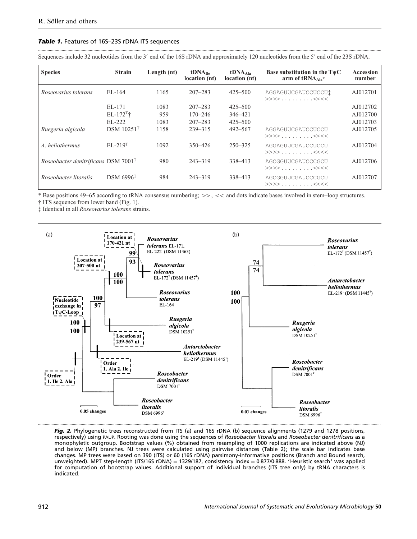#### **Table 1.** Features of 16S-23S rDNA ITS sequences

Sequences include 32 nucleotides from the 3' end of the 16S rDNA and approximately 120 nucleotides from the 5' end of the 23S rDNA.

....................................................................................................................................................................................................................................................................................................

| <b>Species</b>                        | <b>Strain</b>                      | Length (nt) | tDNA <sub>11e</sub><br>location (nt) | tDNA <sub>Ala</sub><br>location (nt) | Base substitution in the $T\psi C$<br>arm of tRNA <sub>Ala</sub> * | Accession<br>number |
|---------------------------------------|------------------------------------|-------------|--------------------------------------|--------------------------------------|--------------------------------------------------------------------|---------------------|
| Roseovarius tolerans                  | EL-164                             | 1165        | $207 - 283$                          | $425 - 500$                          | AGGAGUUCGAUCCUCCU!<br>$>>>>$ <<<<                                  | AJ012701            |
|                                       | EL-171                             | 1083        | $207 - 283$                          | $425 - 500$                          |                                                                    | AJ012702            |
|                                       | $EL-172$ <sup>T</sup> <sup>+</sup> | 959         | $170 - 246$                          | 346-421                              |                                                                    | AJ012700            |
|                                       | EL-222                             | 1083        | $207 - 283$                          | $425 - 500$                          |                                                                    | AJ012703            |
| Ruegeria algicola                     | <b>DSM</b> 10251 <sup>T</sup>      | 1158        | 239-315                              | $492 - 567$                          | AGGAGUUCGAUCCUCCU<br>>>>>. <<<<                                    | AJ012705            |
| A. heliothermus                       | $EL-219$ <sup>T</sup>              | 1092        | $350 - 426$                          | $250 - 325$                          | AGGAGUUCGAUCCUCCU<br>>>>>. <<<<                                    | AJ012704            |
| Roseobacter denitrificans $DSM 7001T$ |                                    | 980         | $243 - 319$                          | 338-413                              | AGCGGUUCGAUCCCGCU<br>>>>>. <<<<                                    | AJ012706            |
| Roseobacter litoralis                 | $DSM$ 6996 <sup>T</sup>            | 984         | $243 - 319$                          | 338-413                              | AGCGGUUCGAUCCCGCU<br>>>>>. <<<<                                    | AJ012707            |

\* Base positions 49–65 according to tRNA consensus numbering; >>, << and dots indicate bases involved in stem–loop structures.

† ITS sequence from lower band (Fig. 1).

‡ Identical in all *Roseovarius tolerans* strains.



*Fig. 2.* Phylogenetic trees reconstructed from ITS (a) and 16S rDNA (b) sequence alignments (1279 and 1278 positions, respectively) using PAUP. Rooting was done using the sequences of *Roseobacter litoralis* and *Roseobacter denitrificans* as a monophyletic outgroup. Bootstrap values (%) obtained from resampling of 1000 replications are indicated above (NJ) and below (MP) branches. NJ trees were calculated using pairwise distances (Table 2); the scale bar indicates base changes. MP trees were based on 390 (ITS) or 60 (16S rDNA) parsimony-informative positions (Branch and Bound search, unweighted). MPT step-length (ITS/16S rDNA) = 1329/187, consistency index = 0.877/0.888. 'Heuristic search' was applied for computation of bootstrap values. Additional support of individual branches (ITS tree only) by tRNA characters is indicated.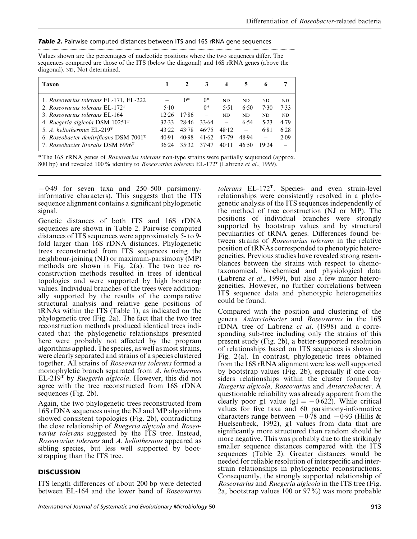#### **Table 2.** Pairwise computed distances between ITS and 16S rRNA gene sequences

Values shown are the percentages of nucleotide positions where the two sequences differ. The sequences compared are those of the ITS (below the diagonal) and 16S rRNA genes (above the diagonal). ND, Not determined.

.....................................................................................................................................................................................................................................

| Taxon                                              |       |       | 3       | 4     | 5     | 6     |      |
|----------------------------------------------------|-------|-------|---------|-------|-------|-------|------|
| 1. Roseovarius tolerans EL-171, EL-222             |       | $0^*$ | $0^*$   | ND.   | ND    | ND.   | ND.  |
| 2. Roseovarius tolerans EL-172 <sup>T</sup>        | 5.10  |       | $0^*$   | 5.51  | 6.50  | 7.30  | 7.33 |
| 3. Roseovarius tolerans EL-164                     | 12.26 | 17.86 |         | ND.   | ND.   | ND.   | ND.  |
| 4. Ruegeria algicola DSM $10251T$                  | 32.33 | 28.46 | 33.64   |       | 6.54  | 5.23  | 4.79 |
| 5. A. heliothermus $EL-219T$                       | 43.22 | 43.78 | 46.75   | 48.12 |       | 6.81  | 6.28 |
| 6. Roseobacter denitrificans DSM 7001 <sup>T</sup> | 40.91 | 40.98 | 41.62   | 47.79 | 48.94 |       | 2.09 |
| 7. Roseobacter litoralis DSM 6996 <sup>T</sup>     | 36.24 | 35.32 | $37-47$ | 40.11 | 46:50 | 19.24 |      |

\* The 16S rRNA genes of *Roseovarius tolerans* non-type strains were partially sequenced (approx. 800 bp) and revealed 100% identity to *Roseovarius tolerans* EL-172T (Labrenz *et al*., 1999).

 $-0.49$  for seven taxa and 250–500 parsimonyinformative characters). This suggests that the ITS sequence alignment contains a significant phylogenetic signal.

Genetic distances of both ITS and 16S rDNA sequences are shown in Table 2. Pairwise computed distances of ITS sequences were approximately 5- to 9 fold larger than 16S rDNA distances. Phylogenetic trees reconstructed from ITS sequences using the neighbour-joining (NJ) or maximum-parsimony (MP) methods are shown in Fig.  $2(a)$ . The two tree reconstruction methods resulted in trees of identical topologies and were supported by high bootstrap values. Individual branches of the trees were additionally supported by the results of the comparative structural analysis and relative gene positions of tRNAs within the ITS (Table 1), as indicated on the phylogenetic tree (Fig. 2a). The fact that the two tree reconstruction methods produced identical trees indicated that the phylogenetic relationships presented here were probably not affected by the program algorithms applied. The species, as well as most strains, were clearly separated and strains of a species clustered together. All strains of *Roseovarius tolerans* formed a monophyletic branch separated from *A*. *heliothermus* EL-219T by *Ruegeria algicola*. However, this did not agree with the tree reconstructed from 16S rDNA sequences (Fig. 2b).

Again, the two phylogenetic trees reconstructed from 16S rDNA sequences using the NJ and MP algorithms showed consistent topologies (Fig. 2b), contradicting the close relationship of *Ruegeria algicola* and *Roseovarius tolerans* suggested by the ITS tree. Instead, *Roseovarius tolerans* and *A*. *heliothermus* appeared as sibling species, but less well supported by bootstrapping than the ITS tree.

# **DISCUSSION**

ITS length differences of about 200 bp were detected between EL-164 and the lower band of *Roseovarius*

*tolerans* EL-172T. Species- and even strain-level relationships were consistently resolved in a phylogenetic analysis of the ITS sequences independently of the method of tree construction (NJ or MP). The positions of individual branches were strongly supported by bootstrap values and by structural peculiarities of tRNA genes. Differences found between strains of *Roseovarius tolerans* in the relative position of tRNAs corresponded to phenotypic heterogeneities. Previous studies have revealed strong resemblances between the strains with respect to chemotaxonomical, biochemical and physiological data (Labrenz *et al*., 1999), but also a few minor heterogeneities. However, no further correlations between ITS sequence data and phenotypic heterogeneities could be found.

Compared with the position and clustering of the genera *Antarctobacter* and *Roseovarius* in the 16S rDNA tree of Labrenz *et al*. (1998) and a corresponding sub-tree including only the strains of this present study (Fig. 2b), a better-supported resolution of relationships based on ITS sequences is shown in Fig. 2(a). In contrast, phylogenetic trees obtained from the 16S rRNA alignment were less well supported by bootstrap values (Fig. 2b), especially if one considers relationships within the cluster formed by *Ruegeria algicola*, *Roseovarius* and *Antarctobacter*. A questionable reliability was already apparent from the clearly poor g1 value (g1 =  $-0.622$ ). While critical values for five taxa and 60 parsimony-informative characters range between  $-0.\overline{7}8$  and  $-0.93$  (Hillis & Huelsenbeck, 1992), g1 values from data that are significantly more structured than random should be more negative. This was probably due to the strikingly smaller sequence distances compared with the ITS sequences (Table 2). Greater distances would be needed for reliable resolution of interspecific and interstrain relationships in phylogenetic reconstructions. Consequently, the strongly supported relationship of *Roseovarius* and *Ruegeria algicola* in the ITS tree (Fig. 2a, bootstrap values 100 or 97%) was more probable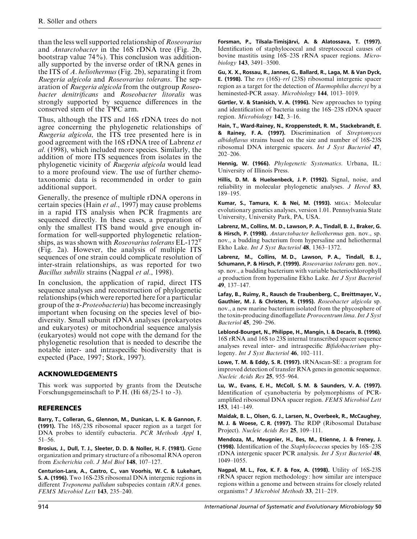than the less well supported relationship of *Roseovarius* and *Antarctobacter* in the 16S rDNA tree (Fig. 2b, bootstrap value  $74\%$ ). This conclusion was additionally supported by the inverse order of tRNA genes in the ITS of *A*. *heliothermus* (Fig. 2b), separating it from *Ruegeria algicola* and *Roseovarius tolerans*. The separation of *Ruegeria algicola* from the outgroup *Roseobacter denitrificans* and *Roseobacter litoralis* was strongly supported by sequence differences in the conserved stem of the TΨC arm.

Thus, although the ITS and 16S rDNA trees do not agree concerning the phylogenetic relationships of *Ruegeria algicola*, the ITS tree presented here is in good agreement with the 16S rDNA tree of Labrenz *et al*. (1998), which included more species. Similarly, the addition of more ITS sequences from isolates in the phylogenetic vicinity of *Ruegeria algicola* would lead to a more profound view. The use of further chemotaxonomic data is recommended in order to gain additional support.

Generally, the presence of multiple rDNA operons in certain species (Hain *et al*., 1997) may cause problems in a rapid ITS analysis when PCR fragments are sequenced directly. In these cases, a preparation of only the smallest ITS band would give enough information for well-supported phylogenetic relationships, as was shown with *Roseovarius tolerans* EL-172T (Fig. 2a). However, the analysis of multiple ITS sequences of one strain could complicate resolution of inter-strain relationships, as was reported for two *Bacillus subtilis* strains (Nagpal *et al*., 1998).

In conclusion, the application of rapid, direct ITS sequence analyses and reconstruction of phylogenetic relationships (which were reported here for a particular group of the α-*Proteobacteria*) has become increasingly important when focusing on the species level of biodiversity. Small subunit rDNA analyses (prokaryotes and eukaryotes) or mitochondrial sequence analysis (eukaryotes) would not cope with the demand for the phylogenetic resolution that is needed to describe the notable inter- and intraspecific biodiversity that is expected (Pace, 1997; Stork, 1997).

# **ACKNOWLEDGEMENTS**

This work was supported by grants from the Deutsche Forschungsgemeinschaft to P.H. (Hi 68/25-1 to -3).

## **REFERENCES**

**Barry, T., Colleran, G., Glennon, M., Dunican, L. K. & Gannon, F. (1991).** The 16S/23S ribosomal spacer region as a target for DNA probes to identify eubacteria. *PCR Methods Appl* **1**, 51–56.

**Brosius, J., Dull, T. J., Sleeter, D. D. & Noller, H. F. (1981).** Gene organization and primary structure of a ribosomal RNA operon from *Escherichia coli*. *J Mol Biol* **148**, 107–127.

**Centurion-Lara, A., Castro, C., van Voorhis, W. C. & Lukehart, S. A. (1996).** Two 16S-23S ribosomal DNA intergenic regions in different *Treponema pallidum* subspecies contain *tRNA* genes. *FEMS Microbiol Lett* **143**, 235–240.

**Forsman, P., Tilsala-Timisja\$rvi, A. & Alatossava, T. (1997).** Identification of staphylococcal and streptococcal causes of bovine mastitis using 16S–23S rRNA spacer regions. *Microbiology* **143**, 3491–3500.

**Gu, X. X., Rossau, R., Jannes, G., Ballard, R., Laga, M. & Van Dyck, E. (1998).** The *rrs* (16S)–*rrl* (23S) ribosomal intergenic spacer region as a target for the detection of *Haemophilus ducreyi* by a heminested-PCR assay. *Microbiology* **144**, 1013–1019.

**Gu\$rtler, V. & Stanisich, V. A. (1996).** New approaches to typing and identification of bacteria using the 16S–23S rDNA spacer region. *Microbiology* **142**, 3–16.

**Hain, T., Ward-Rainey, N., Kroppenstedt, R. M., Stackebrandt, E. & Rainey, F. A. (1997).** Discrimination of *Streptomyces albidoflavus* strains based on the size and number of 16S-23S ribosomal DNA intergenic spacers. *Int J Syst Bacteriol* **47**, 202–206.

**Hennig, W. (1966).** *Phylogenetic Systematics*. Urbana, IL: University of Illinois Press.

**Hillis, D. M. & Huelsenbeck, J. P. (1992).** Signal, noise, and reliability in molecular phylogenetic analyses. *J Hered* **83**, 189–195.

Kumar, S., Tamura, K. & Nei, M. (1993). MEGA: Molecular evolutionary genetics analyses, version 1.01. Pennsylvania State University, University Park, PA, USA.

**Labrenz, M., Collins, M. D., Lawson, P. A., Tindall, B. J., Braker, G. & Hirsch, P. (1998).** *Antarctobacter heliothermus* gen. nov., sp. nov., a budding bacterium from hypersaline and heliothermal Ekho Lake. *Int J Syst Bacteriol* **48**, 1363–1372.

**Labrenz, M., Collins, M. D., Lawson, P. A., Tindall, B. J., Schumann, P. & Hirsch, P. (1999).** *Roseovarius tolerans* gen. nov., sp. nov., a budding bacterium with variable bacteriochlorophyll *a* production from hypersaline Ekho Lake. *Int J Syst Bacteriol* **49**, 137–147.

**Lafay, B., Ruimy, R., Rausch de Traubenberg, C., Breittmayer, V., Gauthier, M. J. & Christen, R. (1995).** *Roseobacter algicola* sp. nov., a new marine bacterium isolated from the phycosphere of the toxin-producing dinoflagellate *Prorocentrum lima*.*Int J Syst Bacteriol* **45**, 290–296.

**Leblond-Bourget, N., Philippe, H., Mangin, I. & Decaris, B. (1996).** 16S rRNA and 16S to 23S internal transcribed spacer sequence analyses reveal inter- and intraspecific *Bifidobacterium* phylogeny. *Int J Syst Bacteriol* **46**, 102–111.

**Lowe, T. M. & Eddy, S. R. (1997).** tRNAscan-SE: a program for improved detection of transfer RNA genes in genomic sequence. *Nucleic Acids Res* **25**, 955–964.

**Lu, W., Evans, E. H., McColl, S. M. & Saunders, V. A. (1997).** Identification of cyanobacteria by polymorphisms of PCRamplified ribosomal DNA spacer region. *FEMS Microbiol Lett* **153**, 141–149.

**Maidak, B. L., Olsen, G. J., Larsen, N., Overbeek, R., McCaughey, M. J. & Woese, C. R. (1997).** The RDP (Ribosomal Database Project). *Nucleic Acids Res* **25**, 109–111.

**Mendoza, M., Meugnier, H., Bes, M., Etienne, J. & Freney, J. (1998).** Identification of the *Staphylococcus* species by 16S–23S rDNA intergenic spacer PCR analysis. *Int J Syst Bacteriol* **48**, 1049–1055.

**Nagpal, M. L., Fox, K. F. & Fox, A. (1998).** Utility of 16S-23S rRNA spacer region methodology: how similar are interspace regions within a genome and between strains for closely related organisms ? *J Microbiol Methods* **33**, 211–219.